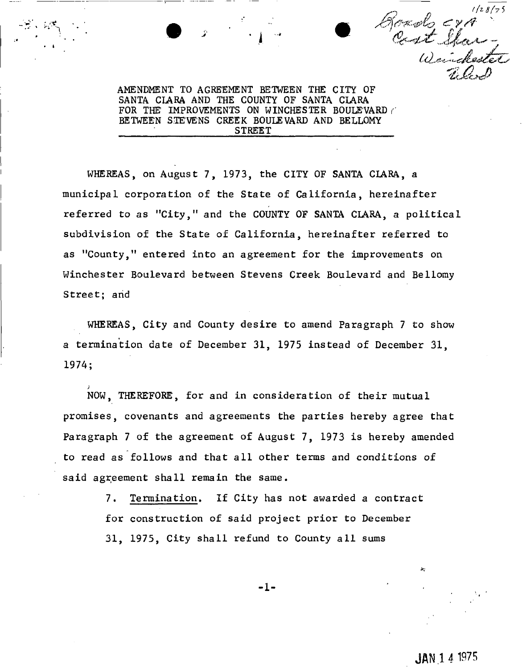Boards Eggs

**AMENDMENT TO AGREEMENT BETWEEN THE CITY OF SANTA CLARA AND THE COUNTY OF SANTA CLARA**  FOR THE IMPROVEMENTS ON WINCHESTER BOULEVARD ( **BETWEEN STEVENS CREEK BOULEVARD AND BELLOMY STREET** 

**WHEREAS, on August 7, 1973, the CITY OF SANTA CLARA, a municipal corporation of the State of California, hereinafter**  referred to as "City," and the COUNTY OF SANTA CLARA, a political **subdivision of the State of California, hereinafter referred to as "County,'<sup>1</sup> entered into an agreement for the improvements on Winchester Boulevard between Stevens Creek Boulevard and Bellomy**  Street; and

**WHEREAS, City and County desire to amend Paragraph 7 to show a termination date of December 31, 1975 instead of December 31, 1974;** 

*j*  **NOW, THEREFORE, for and in consideration of their mutual promises, covenants and agreements the parties hereby agree that Paragraph 7 of the agreement of August 7, 1973 is hereby amended to read as follows and that all other terms and conditions of said agreement shall remain the same.** 

> **7. Termination. If City has not awarded a contract for construction of said project prior to December 31, 1975, City shall refund to County all sums**

> > $-1-$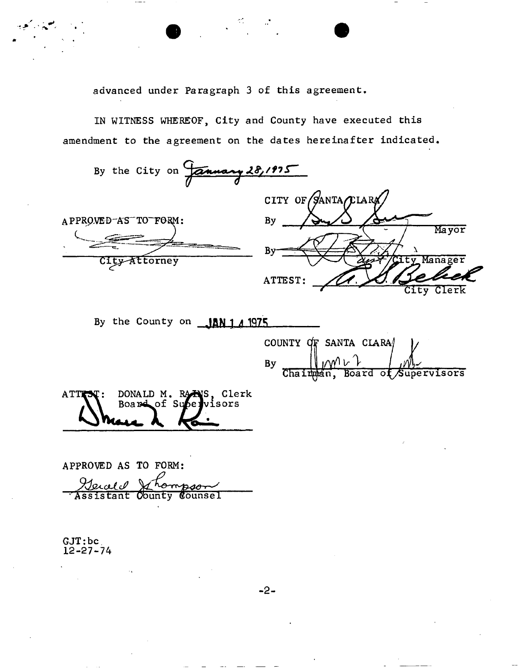**advanced under Paragraph 3 of this agreement** 

 $\mathcal{P}_{\mathcal{A}}^{\bullet}$ 

**IN WITNESS WHEREOF, City and County have executed this amendment to the agreement on the dates hereinafter indicated.** 

| By the City on Tannary 28, 1975    |                                                                |
|------------------------------------|----------------------------------------------------------------|
| APPROVED-AS TO FORM:               | CITY OF $\beta$ ANTA $\beta$ LAR $\beta$<br>By<br>$\mathbf{P}$ |
| <b>Contractor</b><br>City Attorney | Mayor<br>Bv<br>y Manager                                       |
|                                    | ATTEST:                                                        |

By the County on **JAN 1 4 1975** 

COUNTY OF SANTA CLARA |/ **By Chai**   $\frac{1}{R}$ **Board**  of Supervisors

 $\text{ATT}$ **ST:** DONALD M. RAINS, Clerk Share L **visors** 

**APPROVED AS TO FORM:**  *.cjlLCP*  **' Assistant Cfounty Counsel** 

**GJT:be, 12-27-74** 

 $\mathcal{F} \rightarrow \mathcal{F}$ 

**- 2-**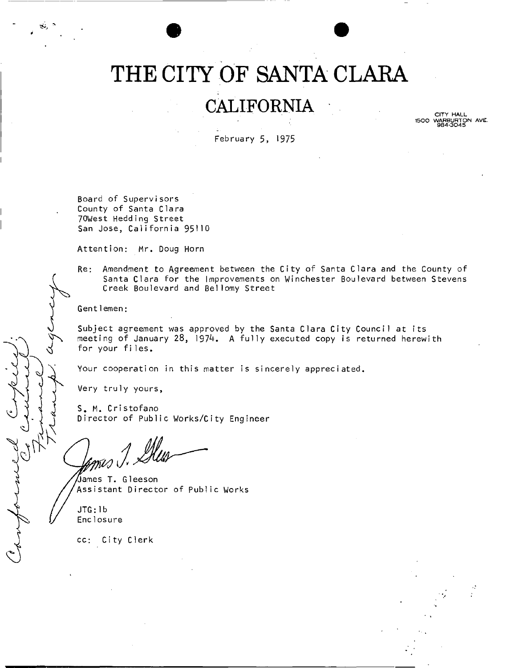# **THE CITY OF SANTA CLARA**

### **CALIFORNIA**

CITY HALL 1500 WAR8URTON AVE. 984-304 5

February 5, 1975

Board of Supervisors County of Santa Clara 70West Hedding Street San Jose, California 95110

Attention: Mr. Doug Horn

Re: Amendment to Agreement between the City of Santa Clara and the County of Santa Clara for the Improvements on Winchester Boulevard between Stevens Creek Boulevard and Bellomy Street

Gent 1emen:

Subject agreement was approved by the Santa Clara City Council at its meeting of January  $28$ , 1974. A fully executed copy is returned herewith for your files.

Your cooperation in this matter is sincerely appreciated.

Very truly yours,

S. M. Cristofano Director of Public Works/City Engineer

Uames T. Gleeson Assistant Director of Public Works

JTG:1b Enc1osure

cc: Ci ty Clerk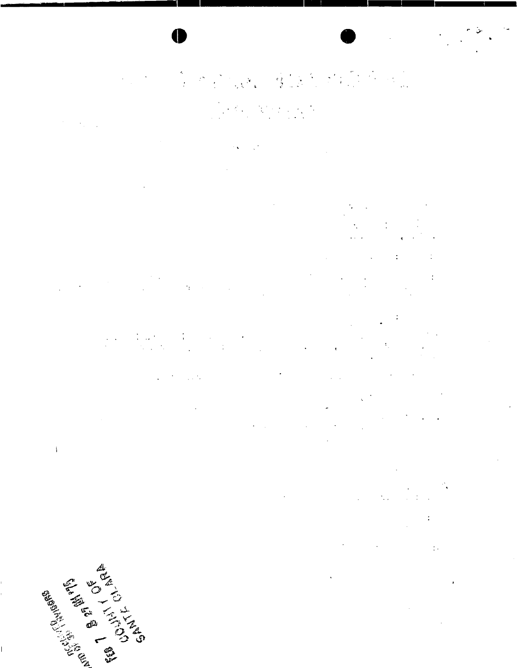# 

## $\label{eq:2} \mathcal{L}=\mathcal{L}^{\text{max}}_{\text{max}}\left(\mathcal{L}^{\text{max}}_{\text{max}}\right) \mathcal{L}^{\text{max}}_{\text{max}}$

 $\label{eq:2.1} \frac{1}{2} \sum_{i=1}^n \frac{1}{2} \sum_{j=1}^n \frac{1}{2} \sum_{j=1}^n \frac{1}{2} \sum_{j=1}^n \frac{1}{2} \sum_{j=1}^n \frac{1}{2} \sum_{j=1}^n \frac{1}{2} \sum_{j=1}^n \frac{1}{2} \sum_{j=1}^n \frac{1}{2} \sum_{j=1}^n \frac{1}{2} \sum_{j=1}^n \frac{1}{2} \sum_{j=1}^n \frac{1}{2} \sum_{j=1}^n \frac{1}{2} \sum_{j=1}^n \frac{$ 

 $\mathcal{O}(10^{10} \, \mathrm{Mpc})$ 

 $\frac{1}{\sqrt{2}}\sum_{i=1}^{n} \frac{1}{\sqrt{2}}\left(\frac{1}{\sqrt{2}}\right)^2$ 

 $\mathbb{Z}^{d \times d}$  $\frac{1}{2}$ 

 $\mathcal{L}(\mathcal{L})$  and  $\mathcal{L}(\mathcal{L})$  . The set of  $\mathcal{L}(\mathcal{L})$  $\frac{1}{2}$  .

 $\label{eq:2.1} \frac{1}{\sqrt{2}}\left(\frac{1}{\sqrt{2}}\right)^{2} \left(\frac{1}{\sqrt{2}}\right)^{2} \left(\frac{1}{\sqrt{2}}\right)^{2} \left(\frac{1}{\sqrt{2}}\right)^{2} \left(\frac{1}{\sqrt{2}}\right)^{2} \left(\frac{1}{\sqrt{2}}\right)^{2} \left(\frac{1}{\sqrt{2}}\right)^{2} \left(\frac{1}{\sqrt{2}}\right)^{2} \left(\frac{1}{\sqrt{2}}\right)^{2} \left(\frac{1}{\sqrt{2}}\right)^{2} \left(\frac{1}{\sqrt{2}}\right)^{2} \left(\$  $\mathcal{A}^{\mathcal{A}}$ 

 $\label{eq:2.1} \frac{1}{\sqrt{2}}\int_{0}^{2\pi} \frac{1}{\sqrt{2}}\left(\frac{1}{\sqrt{2}}\right)^{2} \frac{1}{\sqrt{2}}\left(\frac{1}{\sqrt{2}}\right)^{2} \frac{1}{\sqrt{2}}\left(\frac{1}{\sqrt{2}}\right)^{2} \frac{1}{\sqrt{2}}\left(\frac{1}{\sqrt{2}}\right)^{2} \frac{1}{\sqrt{2}}\left(\frac{1}{\sqrt{2}}\right)^{2} \frac{1}{\sqrt{2}}\left(\frac{1}{\sqrt{2}}\right)^{2} \frac{1}{\sqrt{2}}\left(\frac{1}{\sqrt{2}}\$  $\mathcal{L}^{\text{max}}_{\text{max}}$ 

> $\frac{1}{2} \frac{1}{2}$  $\frac{1}{2} \frac{1}{2} \frac{1}{2}$  $\mathcal{L}^{\text{max}}_{\text{max}}$  , where  $\mathcal{L}^{\text{max}}_{\text{max}}$

> > $\label{eq:2.1} \frac{1}{\sqrt{2}}\sum_{i=1}^n\frac{1}{\sqrt{2\pi i}}\sum_{i=1}^n\frac{1}{\sqrt{2\pi i}}\sum_{i=1}^n\frac{1}{\sqrt{2\pi i}}\sum_{i=1}^n\frac{1}{\sqrt{2\pi i}}\sum_{i=1}^n\frac{1}{\sqrt{2\pi i}}\sum_{i=1}^n\frac{1}{\sqrt{2\pi i}}\sum_{i=1}^n\frac{1}{\sqrt{2\pi i}}\sum_{i=1}^n\frac{1}{\sqrt{2\pi i}}\sum_{i=1}^n\frac{1}{\sqrt{2\pi i}}\sum_{$

 $\label{eq:2.1} \frac{1}{\sqrt{2}}\int_{\mathbb{R}^3}\frac{1}{\sqrt{2}}\left(\frac{1}{\sqrt{2}}\right)^2\frac{1}{\sqrt{2}}\left(\frac{1}{\sqrt{2}}\right)^2\frac{1}{\sqrt{2}}\left(\frac{1}{\sqrt{2}}\right)^2.$ 

 $\bar{\mathcal{A}}$ 

**COMPARENTS CALLS 1**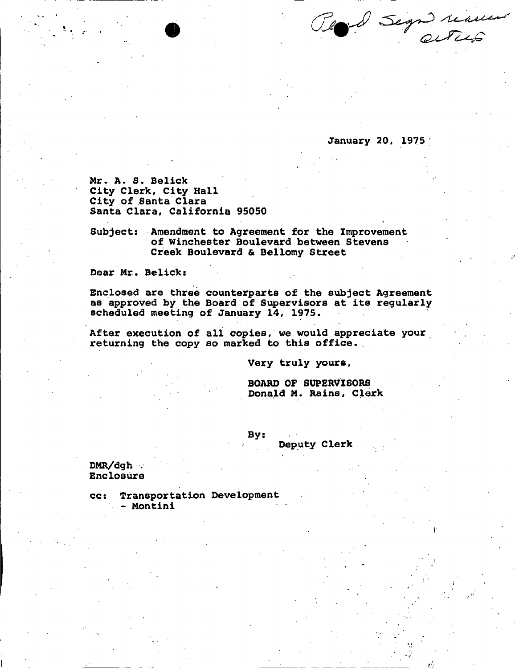Read Segn renew

**January 20, 1975** 

**Mr. A. S. Belick City Clerk, City Hall City of Santa Clara Santa Clara, California 95050** 

**Subjects Amendment to Agreement for the Improvement of Winchester Boulevard between Stevens Creek Boulevard & Bellomy Street** 

**Dear Mr. Belicks** 

**Enclosed are three counterparts of the subject Agreement as approved by the Board of Supervisors at its regularly scheduled meeting of January 14, 1975.** 

**After execution of all copies, we would appreciate your returning the copy so marked to this office.** 

**Very truly yours,** 

**BOARD OF SUPERVISORS Donald M. Rains, Clerk** 

**Deputy Clerk** 

**DMR/dgh : Enclosure** 

**ccs Transportation Development - Montini**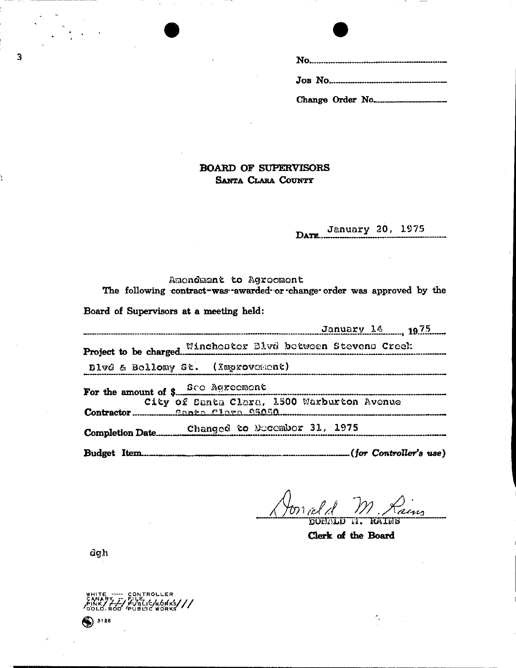|  | $J$ <sub>OB</sub> N <sub>O</sub> |
|--|----------------------------------|
|  |                                  |

### **BOARD OF SUPERVISORS SANTA CLARA COUNTY**

**^ January 20, 1975**  DATE.

**AaondiaQnt to &grooraont**  The following contract-was awarded or change order was approved by the

**Board of Supervisors at a meeting held:** 

|                                                                                  |  |  | January 14 1975                                                                                                                    |  |
|----------------------------------------------------------------------------------|--|--|------------------------------------------------------------------------------------------------------------------------------------|--|
|                                                                                  |  |  |                                                                                                                                    |  |
| Blvd & Bollomy St. (Improvement)                                                 |  |  |                                                                                                                                    |  |
| For the amount of \$ See Agreement<br>City of Santa Clara, 1500 Warburton Avenue |  |  |                                                                                                                                    |  |
| Contractor Canto Clora 05050                                                     |  |  | .<br>1854444 <i>0 di t</i> ostoste poez eta ez en sua pez ne <i>o an ono an ono una una una an an an an an an an an an an an a</i> |  |
|                                                                                  |  |  |                                                                                                                                    |  |
|                                                                                  |  |  |                                                                                                                                    |  |

**W / T //**  any

**DOUNTD M. KAINB** 

**Clerk of the Board** 

**dgh** 

 $\bullet$ 

LER ...<br>M6RKS///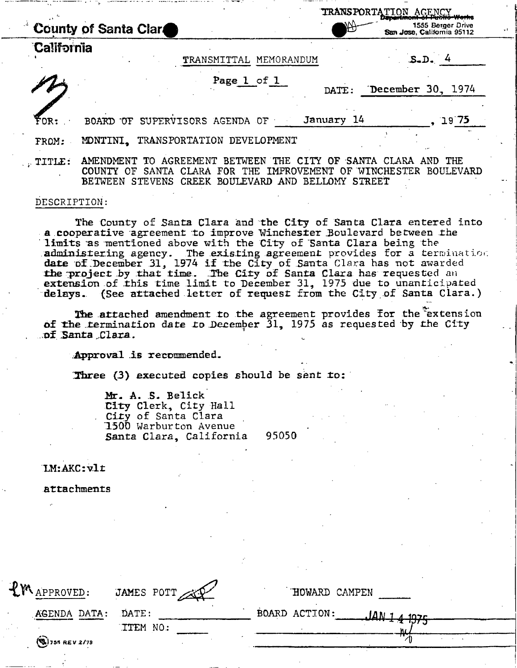|                        | County of Santa Clar<br>◘                                                                                                                                                                                      | <b>TRANSPORTATION AGENCY</b><br>1555 Berger Drive<br>San Jose, California 95112 |
|------------------------|----------------------------------------------------------------------------------------------------------------------------------------------------------------------------------------------------------------|---------------------------------------------------------------------------------|
| <b>California</b>      | TRANSMITTAL MEMORANDUM                                                                                                                                                                                         | $S-D.4$                                                                         |
|                        | Page 1 of 1<br>DATE:                                                                                                                                                                                           | December 30, 1974                                                               |
| FOR:                   | January 14<br>BOARD OF SUPERVISORS AGENDA OF                                                                                                                                                                   | 19 75                                                                           |
| FROM:                  | MONTINI. TRANSPORTATION DEVELOPMENT                                                                                                                                                                            |                                                                                 |
| $\blacksquare$ TITLE : | AGREEMENT<br><b>BETWEEN</b><br><b>SANTA</b><br>AMENDMENT<br>TO.<br><b>THE</b><br>OF<br>CITY.<br>CLARA FOR THE IMPROVEMENT<br>COUNTY<br>OF<br>SANTA<br>OF<br>BETWEEN STEVENS CREEK BOULEVARD AND BELLOMY STREET | CLARA<br><b>THE</b><br>AND.<br>WINCHESTER<br><b>BOULEVARD</b>                   |

#### **DESCRIPTION:**

**The County of Santa Clara and the City of Santa Clara entered into a cooperative agreement to improve Winchester .Boulevard between the**  limits as mentioned above with the City of Santa Clara being the **administering agency. The existing agreement provides for a terminatioi date of .December 3.1, 1974 if the City of Santa** Clara **has not awarded**  the project by that time. The City of Santa Clara has requested an **extension of .this time limit to December 31, 1975 due to unanticipated delays, (See attached letter of request from the City of Santa Clara.)** 

The attached amendment to the agreement provides for the extension of the termination date to December 31, 1975 as requested by the City **,t>f Santa . Clara.** 

Approval is recommended.

*3bree* **(3) executed copies should be sent** *to:* 

**A . 5. Belick**  *City* **Clerk, City Hall . City of Santa Clara 1500 Warburton Avenue Santa Clara, California 95050** 

**LM;AKC:vlt** 

**attachments** 

| L'APPROVED: JAMES POTT |          | HOWARD CAMPEN |                 |
|------------------------|----------|---------------|-----------------|
| AGENDA DATA: DATE:     |          | BOARD ACTION: | $1$ AN 1 4 1975 |
|                        | ITEM NO: |               |                 |
| $$355$ REV 2/78        |          |               |                 |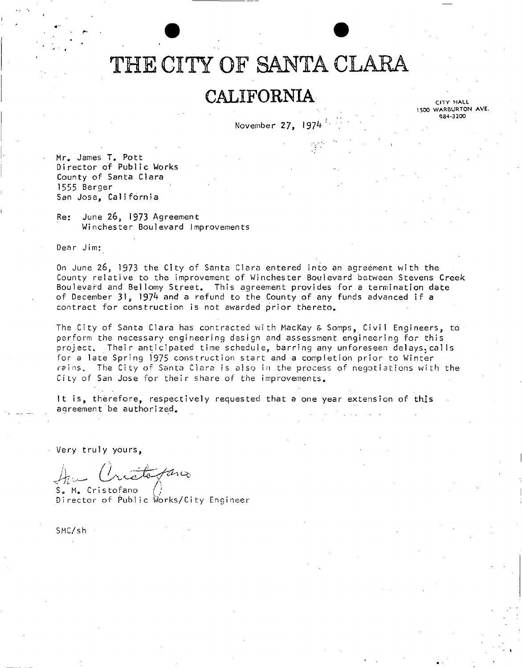## THE **CITY** OF SANTA CLARA

### **CALIFORNIA** CITY HALL

November 27, 1974 <sup>1</sup>'

Mr. James T. Pott Director of Public Works County of Santa Clara 1555 Berger San Jose, California

Re: June 26, 1973 Agreement Winchester Boulevard Improvements

Dear Jim:

On June 26, 1973 the City of Santa Clara entered into an agreement with the County relative to the improvement of Winchester Boulevard between Stevens Creek Boulevard and Bellomy Street, This agreement provides for a termination date of December 31, 1974 and a refund to the County of any funds advanced if a contract for construction is not awarded prior thereto.

The City of Santa Clara has contracted with MacKay & Somps, Civil Engineers, to perform the necessary engineering design and assessment engineering for this project. Their anticipated time schedule, barring any unforeseen delays.calls for a late Spring 1975 construction start and a completion prior to Winter rains. The City of Santa Clara is also in the process of negotiations with the City of San Jose for their share of the improvements.

It is, therefore, respectively requested that a one year extension of this agreement be authorized.

Very truly yours,

tatena

, *M*, UFISLOTANO (*)*<br>iroctor of <sup>b</sup>ublic *dor* Director of Public Works/City Engineer

SMC/sh

1500 WARBURTON AVE. 984-320 0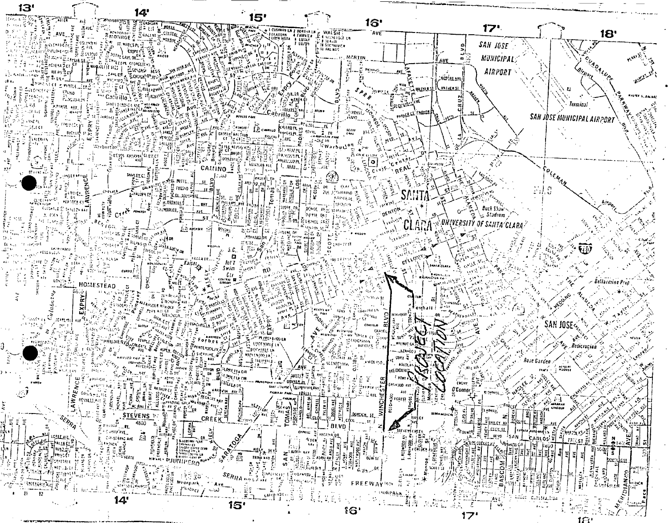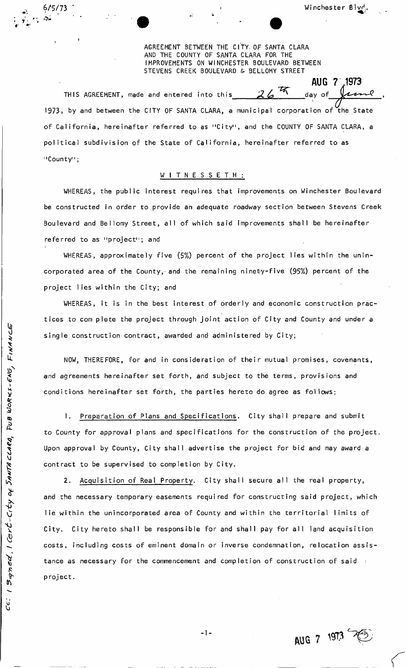AUG 7 1973

AGREEMENT BETWEEN THE CITY- OF SANTA CLARA AND THE COUNTY OF SANTA CLARA FOR THE IMPROVEMENTS ON WINCHESTER BOULEVARD BETWEEN STEVENS CREEK BOULEVARD & BELLOMY STREET

THIS AGREEMENT, made and entered into this 1973, by and between the CITY OF SANTA CLARA, a municipal corporation of the State of California, hereinafter referred to as "City", and the COUNTY OF SANTA CLARA, a political subdivision of the State of California, hereinafter referred to as "County";

### W I T N ESS E T H :

WHEREAS, the public interest requires that improvements on Winchester Boulevard be constructed in order to provide an adequate roadway section between Stevens Creek Boulevard and Bellomy Street, all of which said improvements shall be hereinafter referred to as "project"; and

WHEREAS, approximately five (5%) percent of the project lies within the unincorporated area of the County,' and the remaining ninety-five (95%) percent of the project lies within the City; and

WHEREAS, it is in the best interest of orderly and economic construction practices to com plete the project through joint action of City and County and under a single construction contract, awarded and administered by City;

NOW, THEREFORE, for and in consideration of their mutual promises, covenants, and agreements hereinafter set forth, and subject to the terms, provisions and conditions hereinafter set forth, the parties hereto do agree as follows:

1. Preparation of Plans and Specifications. City shall prepare and submit to County for approval plans and specifications for the construction of the project. Upon approval by County, City shall advertise the project for bid and may award a contract to be supervised to completion by City.

*Z .* Acquisition of Real Property. City shall secure all the real property, and the necessary temporary easements required for constructing said project, which lie within the unincorporated area of County and within the territorial limits of City. City hereto shall be responsible for and shall pay for all land acquisition costs, including costs of eminent domain or inverse condemnation, relocation assistance as necessary for the commencement and completion of construction of said project.

**-1** 

AUG 7 1973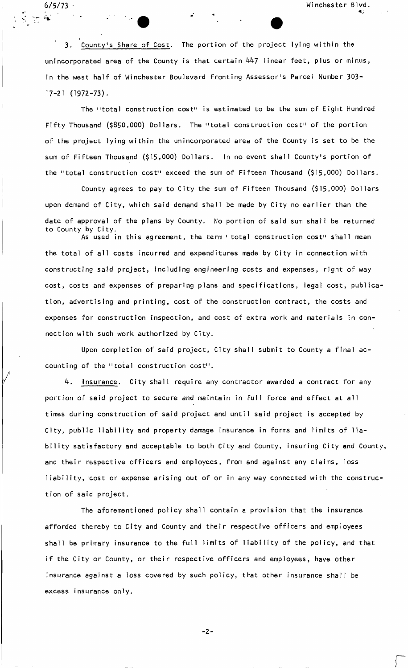**6/5/73 ' Winchester Blvd.** 

3. County's Share of Cost. The portion of the project lying within the unincorporated area of the County is that certain 447 linear feet, plus or minus, in the west half of Winchester Boulevard fronting Assessor's Parcel Number 303- 17-21 (1972-73).

The "total construction cost" is estimated to be the sum of Eight Hundred Fifty Thousand (\$850,000) Dollars. The "total construction cost" of the portion of the project lying within the unincorporated area of the County is set to be the sum of Fifteen Thousand (\$15,000) Dollars. In no event shall County's portion of the "total construction cost" exceed the sum of Fifteen Thousand (\$15,000) Dollars.

County agrees to pay to City the sum of Fifteen Thousand (\$15,000) Dollars upon demand of City, which said demand shall be made by City no earlier than the date of approval of the plans by County. No portion of said sum shall be returned to County by City. As used in this agreement, the term "total construction cost" shall mean

As used in this agreement, the term  $\mathcal{A}_\mathcal{A}$  agreement, the term  $\mathcal{A}_\mathcal{A}$  shall mean  $\mathcal{A}_\mathcal{A}$ the total of all costs includes made by  $C$  and expenditures made by  $C$  in connection with  $\alpha$ constructing said project, including engineering costs and expenses, right of way cost, costs and expenses of preparing plans and specifications, legal cost, publication, advertising and printing, cost of the construction contract, the costs and expenses for construction inspection, and cost of extra work and materials in connection with such work authorized by City.

Upon completion of said project,  $C$  said  $\mathcal{L}$  shall submit to  $C$  and  $\mathcal{L}$  and  $\mathcal{L}$  action action action action action action action action action action action action action action action action action actio counting of the "total construction cost". counting of the "total construction cost".

4.  $1 - 1$  nsurance. City shall require any contractor any contractor any contractor any contract for any contract for any contract for any contract for any contract for any contract for any contract for any contract for any portion of said project to secure and maintain in full force and effect at all times during construction of said project and until said project is accepted by  $C_{\rm eff}$  and public liability and property damage insurance insurance in forms and limits of limits of limits of limits of limits of limits of limits of limits of limits of limits of limits of limits of limits of limits o bility satisfactory and acceptable to both City and County, insuring City and County, and their respective officers and employees, from and against any claims, loss liability, cost or expense arising out of or in any way connected with the construc-

The aforementioned policy shall contain a provision that the insurance The aforementioned policy shall contain a provision that the insurance afforded thereby to City and County and County and County and their respective of  $\mathcal{C}$ shall be primary insurance to the full limits of liability of the policy, and that if the City or County, or their respective officers and employees, have other insurance against a loss covered by such policy, that other insurance shall be excess insurance on the contract of the contract of the contract of the contract of the contract of the contract of

tion of said project.

 $\begin{bmatrix} \mathbf{1} & \mathbf{1} & \mathbf{1} & \mathbf{1} \\ \mathbf{1} & \mathbf{1} & \mathbf{1} & \mathbf{1} \\ \mathbf{1} & \mathbf{1} & \mathbf{1} & \mathbf{1} \end{bmatrix}$ 

**-2-**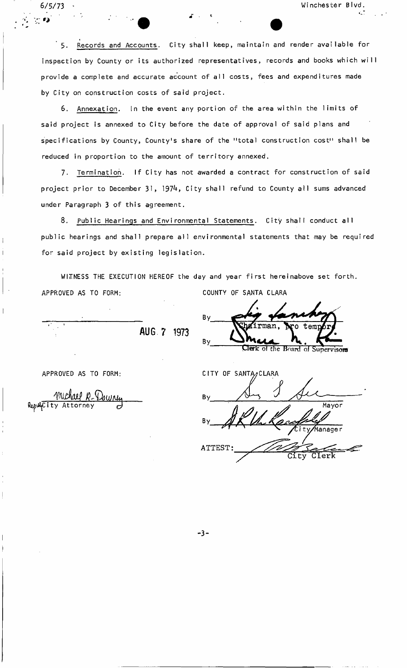**5.** Records and Accounts. City shall keep, maintain and render available for inspection by County or its authorized representatives, records and books which will provide a complete and accurate account of all costs, fees and expenditures made by City on construction costs of said project.

6. Annexation. In the event any portion of the area within the limits of said project is annexed to City before the date of approval of said plans and specifications by County, County's share of the "total construction cost" shall be reduced in proportion to the amount of territory annexed.

7. Termination. If City has not awarded a contract for construction of said project prior to December 31, 1974, City shall refund to County all sums advanced under Paragraph 3 of this agreement.

8. Public Hearings and Environmental Statements. City shall conduct all public hearings and shall prepare all environmental statements that may be required for said project by existing legislation.

WITNESS THE EXECUTION HEREOF the day and year first hereinabove set forth. APPROVED AS TO FORM: COUNTY OF SANTA CLARA

APPROVED AS TO FORM:

Reputcity Attorne

**AUG 7 1973 National Protest** By **Clerk of the Hoard of Supervisors** 

CITY OF SANTA<sub>2</sub>CLARA  $B<sub>1</sub>$ Mayor .<br>Manager **ATTEST:**  CIerk

**-3-**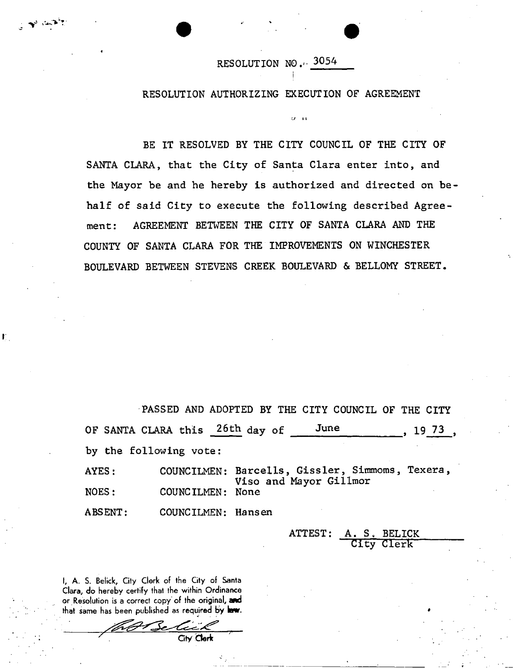**RESOLUTION NO." <sup>3</sup>°54** 

### **RESOLUTION AUTHORIZING EXECUTION OF AGREEMENT**

*•'.i* »i

BE IT RESOLVED BY THE CITY COUNCIL OF THE CITY OF **SANTA CLARA, that the City of Santa Clara enter into, and the Mayor be and he hereby is authorized and directed on behalf of said City to execute the following described Agreement: AGREEMENT BETWEEN THE CITY OF SANTA CLARA AND THE COUNTY OF SANTA CLARA FOR THE IMPROVEMENTS ON WINCHESTER BOULEVARD BETWEEN STEVENS CREEK BOULEVARD & BELLOMY STREET.** 

**PASSED AND ADOPTED BY THE CITY COUNCIL OF THE CITY OF SANTA CLARA this 26th day of Jun e June** , 19 73 **by the following vote:**  AYES: COUNCILMEN: Barcells, Gissler, Simmoms, Texera, **Viso and Mayor Gillmor NOES : COUNCILMEN: None** 

**ABSENT: COUNCILMEN: Hansen** 

Gty Clerk

**ATTEST: A . S . BELICK City Clerk** 

I, A. S. Belick, City Clerk of the City of Santa Clara, do hereby certify that the within Ordinance or Resolution is a correct copy of the original, and that same has been published as required **by law.** 

 $\mathbb{R}$  , which is

Ľ.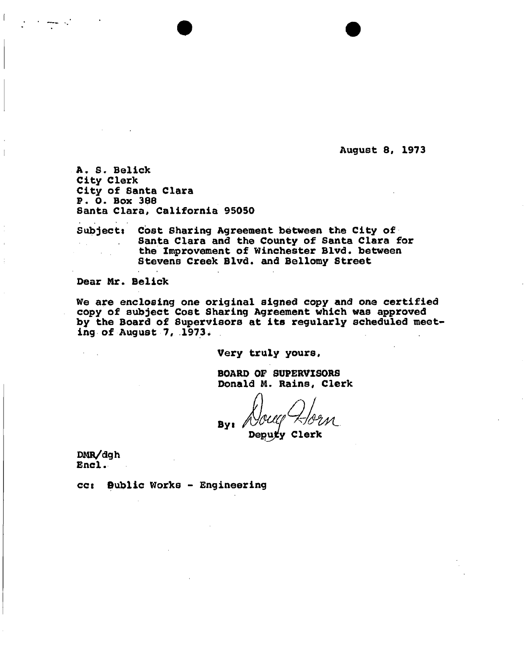**August 8, 1973** 

**A.** *8.* **Belick City Clerk City of Santa Clara P. 0. Box 386 Santa Clara, California 95050** 

**Subjects Cost Sharing Agreement between the City of Santa Clara and the County of Santa Clara for the Improvement of Winchester Blvd. between Stevens Creek Blvd. and Bellomy Street** 

**Dear Mr. Belick** 

**We are enclosing one original signed copy and one certified copy of subject Cost Sharing Agreement which was approved by the Board of Supervisors at its regularly scheduled meeting of August 7, 1973.** 

**Very truly yours,** 

**BOARD OF SUPERVISORS Donald M. Rains, Clerk** 

**B**vi **Deputy Clerk** 

**DMR/dgh End .** 

**ccs 0ublic Works - Engineering**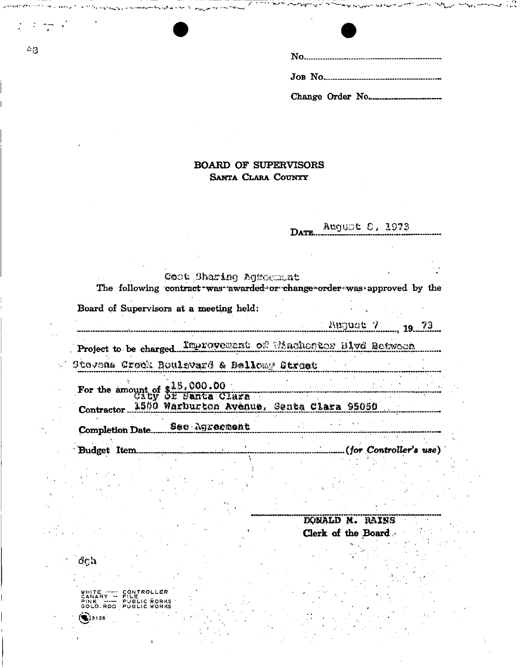| Change Order No |
|-----------------|

### BOARD OF SUPERVISORS SANTA CLARA COUNTY

| AUGUNE OF ADVD |  |  |
|----------------|--|--|
|                |  |  |

|                        | Board of Supervisors at a meeting held:                      |  |                                 |                            |
|------------------------|--------------------------------------------------------------|--|---------------------------------|----------------------------|
|                        |                                                              |  | $\frac{\text{August}}{2}$ 19.73 |                            |
|                        | Project to be charged Improvement of Winchortes Bivd Between |  |                                 |                            |
|                        | Stevens Creek Boulevard & Bellowy Street                     |  |                                 |                            |
|                        | For the amount of \$15,000.00<br>Extra Clara                 |  |                                 |                            |
|                        | Contractor 1560 Warburton Avenue, Santa Clara 95050          |  |                                 |                            |
|                        | See Agreement                                                |  |                                 |                            |
| <b>Completion Date</b> |                                                              |  |                                 | $. (for$ Controller's use) |

DONALD N. RAINS Clerk of the Board

άς,

 $\ddot{\bullet}$ ) 3128

WHITE ----- CONTROLLER<br>CANARY -- FILE<br>PINK ---- PUBLICWORKS<br>GOLD.ROD PUBLICWORKS

**WORKS**<br>WORKS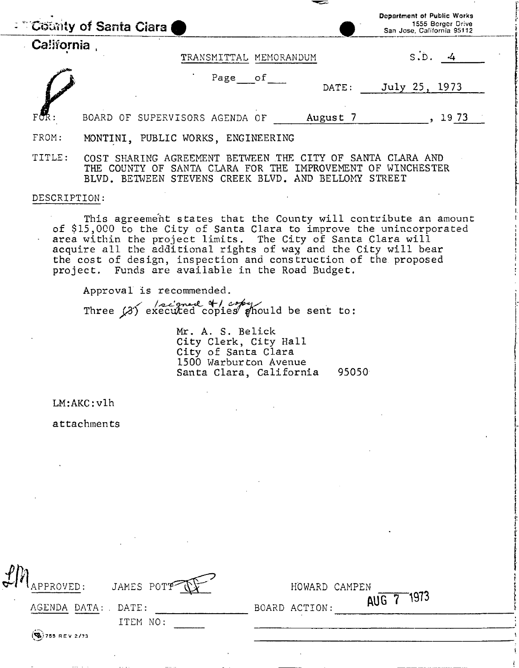|              | County of Santa Clara    |                                                                                                                                                                                   |       | <b>Department of Public Works</b><br>1555 Berger Drive<br>San Jose, California 95112 |
|--------------|--------------------------|-----------------------------------------------------------------------------------------------------------------------------------------------------------------------------------|-------|--------------------------------------------------------------------------------------|
| California   |                          |                                                                                                                                                                                   |       |                                                                                      |
|              |                          | TRANSMITTAL MEMORANDUM                                                                                                                                                            |       | S.D. 4                                                                               |
|              |                          | Page of                                                                                                                                                                           | DATE: | July 25, 1973                                                                        |
| FOR          |                          | BOARD OF SUPERVISORS AGENDA OF August 7                                                                                                                                           |       | , 1973                                                                               |
| FROM:        |                          | MONTINI, PUBLIC WORKS, ENGINEERING                                                                                                                                                |       |                                                                                      |
| TITLE:       |                          | COST SHARING AGREEMENT BETWEEN THE CITY OF SANTA CLARA AND<br>THE COUNTY OF SANTA CLARA FOR THE IMPROVEMENT OF WINCHESTER<br>BLVD. BETWEEN STEVENS CREEK BLVD. AND BELLOMY STREET |       |                                                                                      |
| DESCRIPTION: |                          |                                                                                                                                                                                   |       |                                                                                      |
|              | Approval is recommended. | Three $(3)$ executed copies should be sent to:                                                                                                                                    |       |                                                                                      |
|              |                          | Mr. A. S. Belick<br>City Clerk, City Hall<br>City of Santa Clara<br>1500 Warburton Avenue<br>Santa Clara, California                                                              | 95050 |                                                                                      |
|              | LM:AKC: vlh              |                                                                                                                                                                                   |       |                                                                                      |
|              | attachments              |                                                                                                                                                                                   |       |                                                                                      |
|              |                          |                                                                                                                                                                                   |       |                                                                                      |
|              |                          |                                                                                                                                                                                   |       |                                                                                      |
|              |                          |                                                                                                                                                                                   |       |                                                                                      |
|              |                          |                                                                                                                                                                                   |       |                                                                                      |

| أسبكه | APPROVED:          |          | JAMES POTT U | HOWARD CAMPEN |            |  |
|-------|--------------------|----------|--------------|---------------|------------|--|
|       | AGENDA DATA: DATE: | ITEM NO: |              | BOARD ACTION: | AUG 7 1973 |  |

-5

 $\mathbf{A}$ 

Ì

 $9755$  REV 2/73